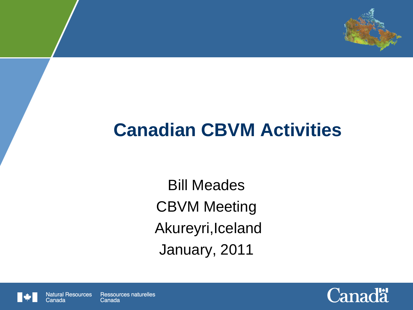

## **Canadian CBVM Activities**

Bill Meades CBVM Meeting Akureyri,Iceland January, 2011



Canada

**Natural Resources** Ressources naturelles Canada

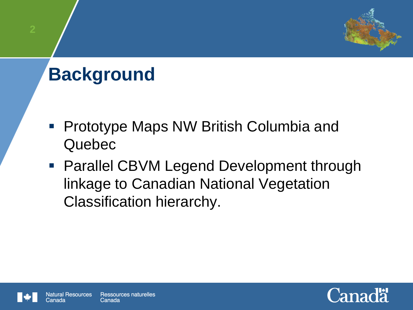# **Background**

- **Prototype Maps NW British Columbia and** Quebec
- Parallel CBVM Legend Development through linkage to Canadian National Vegetation Classification hierarchy.



`.anada

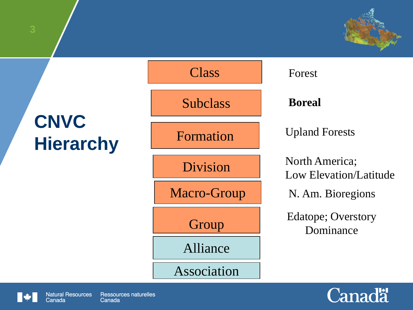# **CNVC Hierarchy**





Canada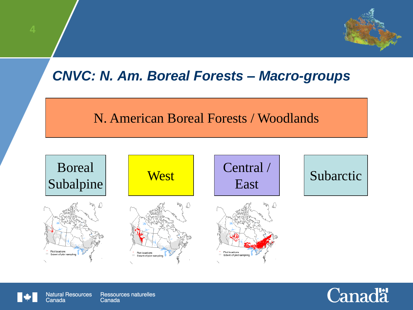### *CNVC: N. Am. Boreal Forests – Macro-groups*

#### N. American Boreal Forests / Woodlands





**Natural Resources** Ressources naturelles Canada

Canada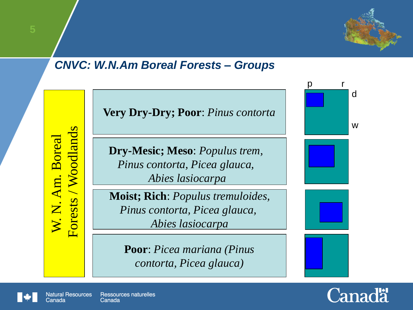

#### *CNVC: W.N.Am Boreal Forests – Groups*

W. N. Am. Boreal<br>Forests / Woodlands

**Very Dry-Dry; Poor**: *Pinus contorta*

**Dry-Mesic; Meso**: *Populus trem, Pinus contorta, Picea glauca, Abies lasiocarpa*

**Moist; Rich**: *Populus tremuloides, Pinus contorta, Picea glauca, Abies lasiocarpa*

**Poor**: *Picea mariana (Pinus contorta, Picea glauca)*







Canada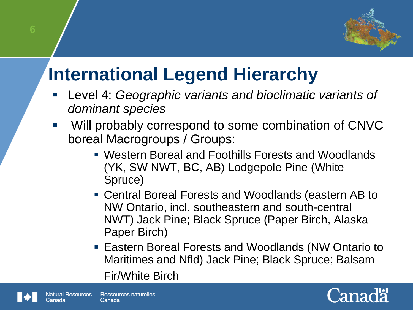

## **International Legend Hierarchy**

- Level 4: *Geographic variants and bioclimatic variants of dominant species*
- Will probably correspond to some combination of CNVC boreal Macrogroups / Groups:
	- Western Boreal and Foothills Forests and Woodlands (YK, SW NWT, BC, AB) Lodgepole Pine (White Spruce)
	- Central Boreal Forests and Woodlands (eastern AB to NW Ontario, incl. southeastern and south-central NWT) Jack Pine; Black Spruce (Paper Birch, Alaska Paper Birch)
	- **Eastern Boreal Forests and Woodlands (NW Ontario to** Maritimes and Nfld) Jack Pine; Black Spruce; Balsam

Fir/White Birch